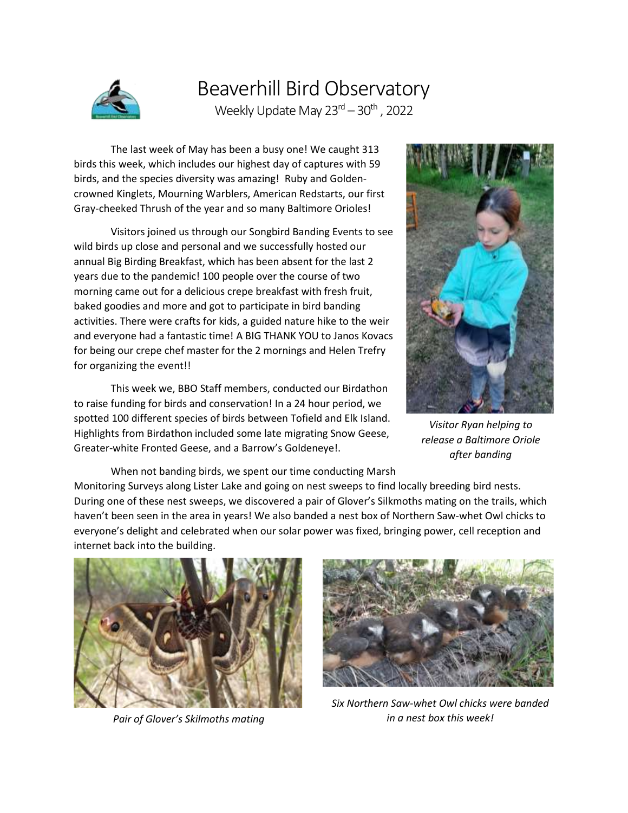

## Beaverhill Bird Observatory Weekly Update May 23<sup>rd</sup> – 30<sup>th</sup> , 2022

The last week of May has been a busy one! We caught 313 birds this week, which includes our highest day of captures with 59 birds, and the species diversity was amazing! Ruby and Goldencrowned Kinglets, Mourning Warblers, American Redstarts, our first Gray-cheeked Thrush of the year and so many Baltimore Orioles!

Visitors joined us through our Songbird Banding Events to see wild birds up close and personal and we successfully hosted our annual Big Birding Breakfast, which has been absent for the last 2 years due to the pandemic! 100 people over the course of two morning came out for a delicious crepe breakfast with fresh fruit, baked goodies and more and got to participate in bird banding activities. There were crafts for kids, a guided nature hike to the weir and everyone had a fantastic time! A BIG THANK YOU to Janos Kovacs for being our crepe chef master for the 2 mornings and Helen Trefry for organizing the event!!

This week we, BBO Staff members, conducted our Birdathon to raise funding for birds and conservation! In a 24 hour period, we spotted 100 different species of birds between Tofield and Elk Island. Highlights from Birdathon included some late migrating Snow Geese, Greater-white Fronted Geese, and a Barrow's Goldeneye!.



*Visitor Ryan helping to release a Baltimore Oriole after banding*

When not banding birds, we spent our time conducting Marsh Monitoring Surveys along Lister Lake and going on nest sweeps to find locally breeding bird nests. During one of these nest sweeps, we discovered a pair of Glover's Silkmoths mating on the trails, which haven't been seen in the area in years! We also banded a nest box of Northern Saw-whet Owl chicks to everyone's delight and celebrated when our solar power was fixed, bringing power, cell reception and internet back into the building.



*Pair of Glover's Skilmoths mating*



*Six Northern Saw-whet Owl chicks were banded in a nest box this week!*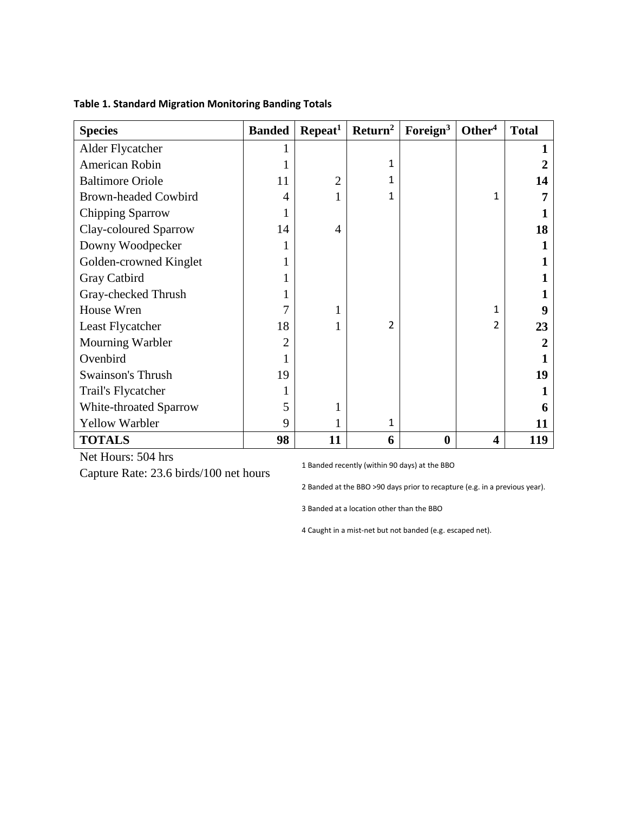| <b>Species</b>              | <b>Banded</b> | Repeat <sup>1</sup> | Return <sup>2</sup> | Foreign $3$ | Other <sup>4</sup> | <b>Total</b> |
|-----------------------------|---------------|---------------------|---------------------|-------------|--------------------|--------------|
| Alder Flycatcher            |               |                     |                     |             |                    |              |
| American Robin              |               |                     | 1                   |             |                    |              |
| <b>Baltimore Oriole</b>     | 11            | $\overline{2}$      |                     |             |                    | 14           |
| <b>Brown-headed Cowbird</b> | 4             |                     |                     |             | 1                  |              |
| Chipping Sparrow            |               |                     |                     |             |                    |              |
| Clay-coloured Sparrow       | 14            | 4                   |                     |             |                    | 18           |
| Downy Woodpecker            |               |                     |                     |             |                    |              |
| Golden-crowned Kinglet      |               |                     |                     |             |                    |              |
| Gray Catbird                |               |                     |                     |             |                    |              |
| Gray-checked Thrush         |               |                     |                     |             |                    |              |
| House Wren                  |               |                     |                     |             | 1                  |              |
| Least Flycatcher            | 18            |                     | $\mathfrak{p}$      |             | $\mathfrak{p}$     | 23           |
| Mourning Warbler            | 2             |                     |                     |             |                    |              |
| Ovenbird                    |               |                     |                     |             |                    |              |
| <b>Swainson's Thrush</b>    | 19            |                     |                     |             |                    | 19           |
| Trail's Flycatcher          |               |                     |                     |             |                    |              |
| White-throated Sparrow      | 5             |                     |                     |             |                    |              |
| Yellow Warbler              | 9             |                     | 1                   |             |                    | 11           |
| <b>TOTALS</b>               | 98            | 11                  | 6                   | $\bf{0}$    | 4                  | 119          |

## **Table 1. Standard Migration Monitoring Banding Totals**

Net Hours: 504 hrs Capture Rate: 23.6 birds/100 net hours

1 Banded recently (within 90 days) at the BBO

2 Banded at the BBO >90 days prior to recapture (e.g. in a previous year).

3 Banded at a location other than the BBO

4 Caught in a mist-net but not banded (e.g. escaped net).